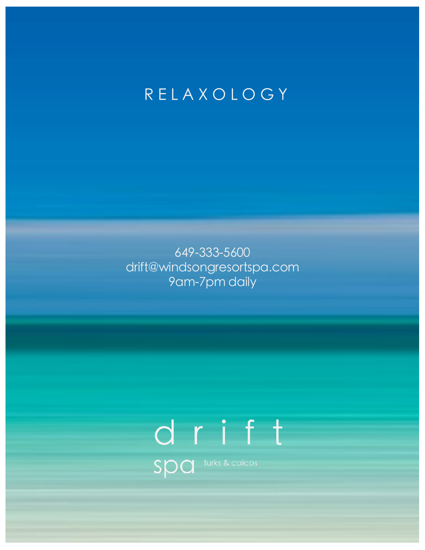## RELAXOLOGY

649-333-5600 drift@windsongresortspa.com 9am-7pm daily

# drift Spa turks & caicos